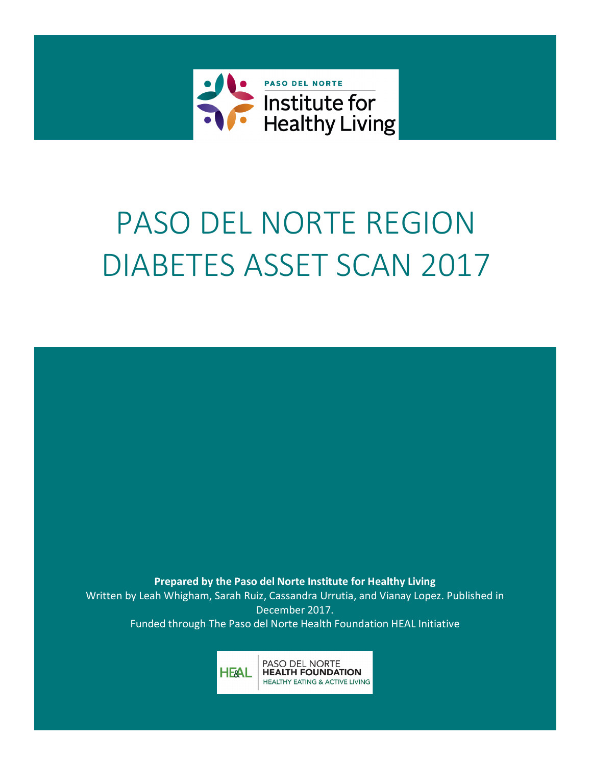

# PASO DEL NORTE REGION DIABETES ASSET SCAN 2017

Prepared by the Paso del Norte Institute for Healthy Living Written by Leah Whigham, Sarah Ruiz, Cassandra Urrutia, and Vianay Lopez. Published in December 2017. Funded through The Paso del Norte Health Foundation HEAL Initiative

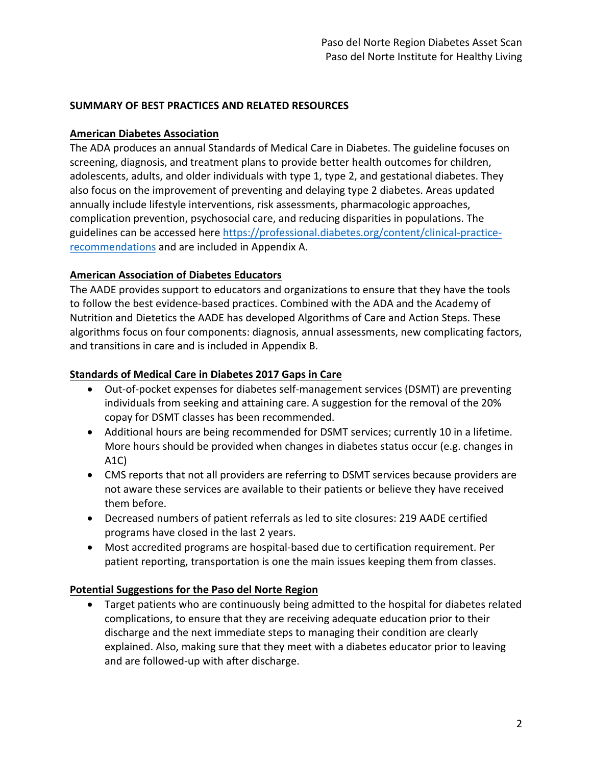# **SUMMARY OF BEST PRACTICES AND RELATED RESOURCES**

## **American Diabetes Association**

The ADA produces an annual Standards of Medical Care in Diabetes. The guideline focuses on screening, diagnosis, and treatment plans to provide better health outcomes for children, adolescents, adults, and older individuals with type 1, type 2, and gestational diabetes. They also focus on the improvement of preventing and delaying type 2 diabetes. Areas updated annually include lifestyle interventions, risk assessments, pharmacologic approaches, complication prevention, psychosocial care, and reducing disparities in populations. The guidelines can be accessed here https://professional.diabetes.org/content/clinical-practicerecommendations and are included in Appendix A.

# **American Association of Diabetes Educators**

The AADE provides support to educators and organizations to ensure that they have the tools to follow the best evidence-based practices. Combined with the ADA and the Academy of Nutrition and Dietetics the AADE has developed Algorithms of Care and Action Steps. These algorithms focus on four components: diagnosis, annual assessments, new complicating factors, and transitions in care and is included in Appendix B.

# **Standards of Medical Care in Diabetes 2017 Gaps in Care**

- Out-of-pocket expenses for diabetes self-management services (DSMT) are preventing individuals from seeking and attaining care. A suggestion for the removal of the 20% copay for DSMT classes has been recommended.
- Additional hours are being recommended for DSMT services; currently 10 in a lifetime. More hours should be provided when changes in diabetes status occur (e.g. changes in A1C)
- CMS reports that not all providers are referring to DSMT services because providers are not aware these services are available to their patients or believe they have received them before.
- Decreased numbers of patient referrals as led to site closures: 219 AADE certified programs have closed in the last 2 years.
- Most accredited programs are hospital-based due to certification requirement. Per patient reporting, transportation is one the main issues keeping them from classes.

## **Potential Suggestions for the Paso del Norte Region**

• Target patients who are continuously being admitted to the hospital for diabetes related complications, to ensure that they are receiving adequate education prior to their discharge and the next immediate steps to managing their condition are clearly explained. Also, making sure that they meet with a diabetes educator prior to leaving and are followed-up with after discharge.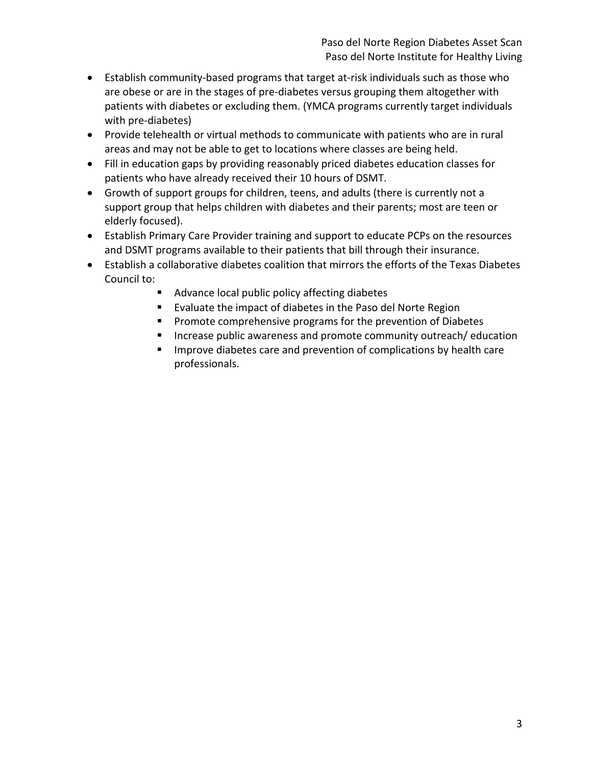- Establish community-based programs that target at-risk individuals such as those who are obese or are in the stages of pre-diabetes versus grouping them altogether with patients with diabetes or excluding them. (YMCA programs currently target individuals with pre-diabetes)
- Provide telehealth or virtual methods to communicate with patients who are in rural areas and may not be able to get to locations where classes are being held.
- Fill in education gaps by providing reasonably priced diabetes education classes for patients who have already received their 10 hours of DSMT.
- Growth of support groups for children, teens, and adults (there is currently not a support group that helps children with diabetes and their parents; most are teen or elderly focused).
- Establish Primary Care Provider training and support to educate PCPs on the resources and DSMT programs available to their patients that bill through their insurance.
- Establish a collaborative diabetes coalition that mirrors the efforts of the Texas Diabetes Council to:
	- Advance local public policy affecting diabetes
	- Evaluate the impact of diabetes in the Paso del Norte Region
	- Promote comprehensive programs for the prevention of Diabetes
	- Increase public awareness and promote community outreach/ education
	- Improve diabetes care and prevention of complications by health care professionals.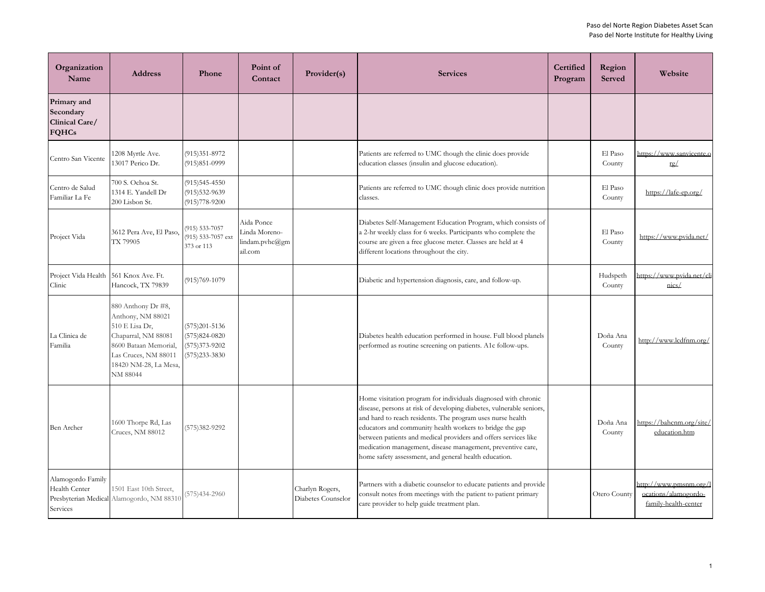| Organization<br>Name                                       | <b>Address</b>                                                                                                                                                         | Phone                                                                        | Point of<br>Contact                                      | Provider(s)                           | <b>Services</b>                                                                                                                                                                                                                                                                                                                                                                                                                                             | Certified<br>Program | Region<br><b>Served</b> | Website                                                                |
|------------------------------------------------------------|------------------------------------------------------------------------------------------------------------------------------------------------------------------------|------------------------------------------------------------------------------|----------------------------------------------------------|---------------------------------------|-------------------------------------------------------------------------------------------------------------------------------------------------------------------------------------------------------------------------------------------------------------------------------------------------------------------------------------------------------------------------------------------------------------------------------------------------------------|----------------------|-------------------------|------------------------------------------------------------------------|
| Primary and<br>Secondary<br>Clinical Care/<br><b>FQHCs</b> |                                                                                                                                                                        |                                                                              |                                                          |                                       |                                                                                                                                                                                                                                                                                                                                                                                                                                                             |                      |                         |                                                                        |
| Centro San Vicente                                         | 1208 Myrtle Ave.<br>13017 Perico Dr.                                                                                                                                   | $(915)351-8972$<br>$(915)851 - 0999$                                         |                                                          |                                       | Patients are referred to UMC though the clinic does provide<br>education classes (insulin and glucose education).                                                                                                                                                                                                                                                                                                                                           |                      | El Paso<br>County       | https://www.sanvicente.o<br>rg/                                        |
| Centro de Salud<br>Familiar La Fe                          | 700 S. Ochoa St.<br>1314 E. Yandell Dr<br>200 Lisbon St.                                                                                                               | $(915)545-4550$<br>$(915)532-9639$<br>$(915)778-9200$                        |                                                          |                                       | Patients are referred to UMC though clinic does provide nutrition<br>classes.                                                                                                                                                                                                                                                                                                                                                                               |                      | El Paso<br>County       | https://lafe-ep.org/                                                   |
| Project Vida                                               | 3612 Pera Ave, El Paso,<br>TX 79905                                                                                                                                    | 915) 533-7057<br>(915) 533-7057 ext<br>373 or 113                            | Aida Ponce<br>Linda Moreno-<br>lindam.pvhc@gm<br>ail.com |                                       | Diabetes Self-Management Education Program, which consists of<br>a 2-hr weekly class for 6 weeks. Participants who complete the<br>course are given a free glucose meter. Classes are held at 4<br>different locations throughout the city.                                                                                                                                                                                                                 |                      | El Paso<br>County       | https://www.pvida.net/                                                 |
| Project Vida Health 561 Knox Ave. Ft.<br>Clinic            | Hancock, TX 79839                                                                                                                                                      | $(915)769-1079$                                                              |                                                          |                                       | Diabetic and hypertension diagnosis, care, and follow-up.                                                                                                                                                                                                                                                                                                                                                                                                   |                      | Hudspeth<br>County      | https://www.pvida.net/cli<br>nics/                                     |
| La Clinica de<br>Familia                                   | 880 Anthony Dr #8,<br>Anthony, NM 88021<br>510 E Lisa Dr,<br>Chaparral, NM 88081<br>8600 Bataan Memorial,<br>Las Cruces, NM 88011<br>18420 NM-28, La Mesa,<br>NM 88044 | $(575)201 - 5136$<br>$(575)824-0820$<br>$(575)373-9202$<br>$(575)233 - 3830$ |                                                          |                                       | Diabetes health education performed in house. Full blood planels<br>performed as routine screening on patients. A1c follow-ups.                                                                                                                                                                                                                                                                                                                             |                      | Doña Ana<br>County      | http://www.lcdfnm.org/                                                 |
| Ben Archer                                                 | 1600 Thorpe Rd, Las<br>Cruces, NM 88012                                                                                                                                | (575) 382-9292                                                               |                                                          |                                       | Home visitation program for individuals diagnosed with chronic<br>disease, persons at risk of developing diabetes, vulnerable seniors,<br>and hard to reach residents. The program uses nurse health<br>educators and community health workers to bridge the gap<br>between patients and medical providers and offers services like<br>medication management, disease management, preventive care,<br>home safety assessment, and general health education. |                      | Doña Ana<br>County      | https://bahcnm.org/site/<br>education.htm                              |
| Alamogordo Family<br>Health Center<br>Services             | 1501 East 10th Street,<br>Presbyterian Medical Alamogordo, NM 88310                                                                                                    | 575)434-2960                                                                 |                                                          | Charlyn Rogers,<br>Diabetes Counselor | Partners with a diabetic counselor to educate patients and provide<br>consult notes from meetings with the patient to patient primary<br>care provider to help guide treatment plan.                                                                                                                                                                                                                                                                        |                      | Otero County            | http://www.pmsnm.org/l<br>ocations/alamogordo-<br>family-health-center |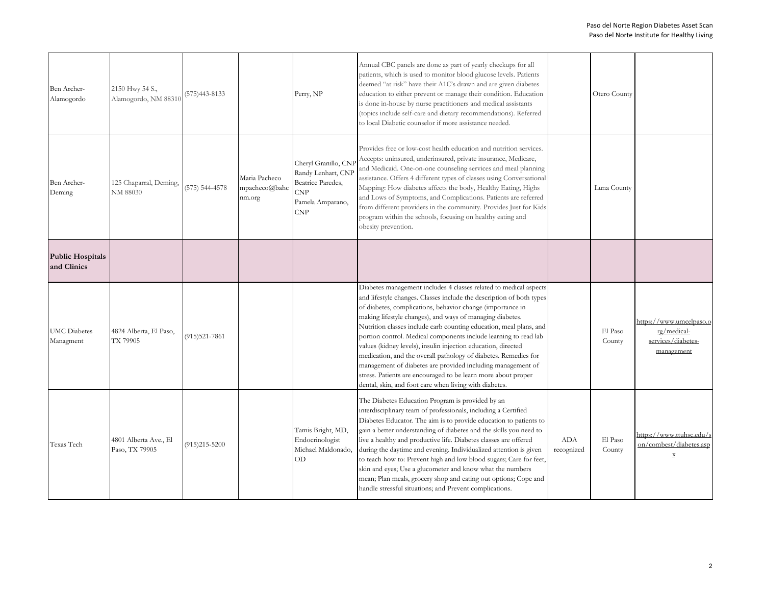| Ben Archer-<br>Alamogordo              | 2150 Hwy 54 S.,<br>Alamogordo, NM 88310 | $(575)443-8133$   |                                                         | Perry, NP                                                                                               | Annual CBC panels are done as part of yearly checkups for all<br>patients, which is used to monitor blood glucose levels. Patients<br>deemed "at risk" have their A1C's drawn and are given diabetes<br>education to either prevent or manage their condition. Education<br>is done in-house by nurse practitioners and medical assistants<br>(topics include self-care and dietary recommendations). Referred<br>to local Diabetic counselor if more assistance needed.                                                                                                                                                                                                                                                                     |                   | Otero County      |                                                                            |
|----------------------------------------|-----------------------------------------|-------------------|---------------------------------------------------------|---------------------------------------------------------------------------------------------------------|----------------------------------------------------------------------------------------------------------------------------------------------------------------------------------------------------------------------------------------------------------------------------------------------------------------------------------------------------------------------------------------------------------------------------------------------------------------------------------------------------------------------------------------------------------------------------------------------------------------------------------------------------------------------------------------------------------------------------------------------|-------------------|-------------------|----------------------------------------------------------------------------|
| Ben Archer-<br>Deming                  | 125 Chaparral, Deming,<br>NM 88030      | (575) 544-4578    | Maria Pacheco<br>$mpacheco(\widehat{a})$ bahc<br>nm.org | Cheryl Granillo, CN<br>Randy Lenhart, CNP<br>Beatrice Paredes,<br>CNP<br>Pamela Amparano,<br><b>CNP</b> | Provides free or low-cost health education and nutrition services.<br>Accepts: uninsured, underinsured, private insurance, Medicare,<br>and Medicaid. One-on-one counseling services and meal planning<br>assistance. Offers 4 different types of classes using Conversational<br>Mapping: How diabetes affects the body, Healthy Eating, Highs<br>and Lows of Symptoms, and Complications. Patients are referred<br>from different providers in the community. Provides Just for Kids<br>program within the schools, focusing on healthy eating and<br>obesity prevention.                                                                                                                                                                  |                   | Luna County       |                                                                            |
| <b>Public Hospitals</b><br>and Clinics |                                         |                   |                                                         |                                                                                                         |                                                                                                                                                                                                                                                                                                                                                                                                                                                                                                                                                                                                                                                                                                                                              |                   |                   |                                                                            |
| <b>UMC</b> Diabetes<br>Managment       | 4824 Alberta, El Paso,<br>TX 79905      | $(915)521 - 7861$ |                                                         |                                                                                                         | Diabetes management includes 4 classes related to medical aspects<br>and lifestyle changes. Classes include the description of both types<br>of diabetes, complications, behavior change (importance in<br>making lifestyle changes), and ways of managing diabetes.<br>Nutrition classes include carb counting education, meal plans, and<br>portion control. Medical components include learning to read lab<br>values (kidney levels), insulin injection education, directed<br>medication, and the overall pathology of diabetes. Remedies for<br>management of diabetes are provided including management of<br>stress. Patients are encouraged to be learn more about proper<br>dental, skin, and foot care when living with diabetes. |                   | El Paso<br>County | https://www.umcelpaso.c<br>ro/medical-<br>services/diabetes-<br>management |
| Texas Tech                             | 4801 Alberta Ave., El<br>Paso, TX 79905 | $(915)215 - 5200$ |                                                         | Tamis Bright, MD,<br>Endocrinologist<br>Michael Maldonado,<br>OD                                        | The Diabetes Education Program is provided by an<br>interdisciplinary team of professionals, including a Certified<br>Diabetes Educator. The aim is to provide education to patients to<br>gain a better understanding of diabetes and the skills you need to<br>live a healthy and productive life. Diabetes classes are offered<br>during the daytime and evening. Individualized attention is given<br>to teach how to: Prevent high and low blood sugars; Care for feet,<br>skin and eyes; Use a glucometer and know what the numbers<br>mean; Plan meals, grocery shop and eating out options; Cope and<br>handle stressful situations; and Prevent complications.                                                                      | ADA<br>recognized | El Paso<br>County | https://www.ttuhsc.edu/s<br>on/combest/diabetes.asp<br>$\mathbf x$         |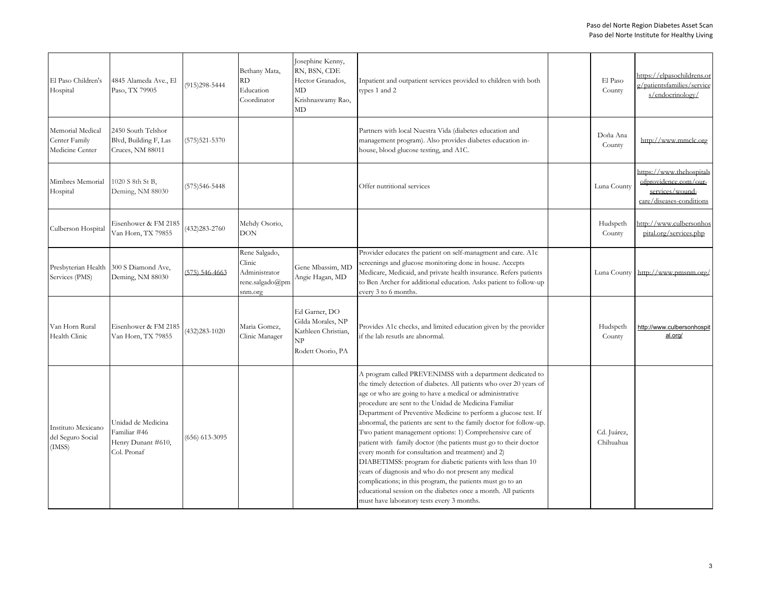| El Paso Children's<br>Hospital                       | 4845 Alameda Ave., El<br>Paso, TX 79905                                 | $(915)298 - 5444$ | Bethany Mata,<br>RD.<br>Education<br>Coordinator                       | Josephine Kenny,<br>RN, BSN, CDE<br>Hector Granados,<br>MD<br>Krishnaswamy Rao,<br>MD | Inpatient and outpatient services provided to children with both<br>types 1 and 2                                                                                                                                                                                                                                                                                                                                                                                                                                                                                                                                                                                                                                                                                                                                                                                                            | El Paso<br>County        | https://elpasochildrens.or<br>g/patientsfamilies/service<br>s/endocrinology/                     |
|------------------------------------------------------|-------------------------------------------------------------------------|-------------------|------------------------------------------------------------------------|---------------------------------------------------------------------------------------|----------------------------------------------------------------------------------------------------------------------------------------------------------------------------------------------------------------------------------------------------------------------------------------------------------------------------------------------------------------------------------------------------------------------------------------------------------------------------------------------------------------------------------------------------------------------------------------------------------------------------------------------------------------------------------------------------------------------------------------------------------------------------------------------------------------------------------------------------------------------------------------------|--------------------------|--------------------------------------------------------------------------------------------------|
| Memorial Medical<br>Center Family<br>Medicine Center | 2450 South Telshor<br>Blvd, Building F, Las<br>Cruces, NM 88011         | $(575)521 - 5370$ |                                                                        |                                                                                       | Partners with local Nuestra Vida (diabetes education and<br>management program). Also provides diabetes education in-<br>house, blood glucose testing, and A1C.                                                                                                                                                                                                                                                                                                                                                                                                                                                                                                                                                                                                                                                                                                                              | Doña Ana<br>County       | http://www.mmclc.org                                                                             |
| Mimbres Memorial<br>Hospital                         | 1020 S 8th St B,<br>Deming, NM 88030                                    | (575) 546-5448    |                                                                        |                                                                                       | Offer nutritional services                                                                                                                                                                                                                                                                                                                                                                                                                                                                                                                                                                                                                                                                                                                                                                                                                                                                   | Luna County              | https://www.thehospitals<br>ofprovidence.com/our-<br>services/wound-<br>care/diseases-conditions |
| Culberson Hospital                                   | Eisenhower & FM 2185<br>Van Horn, TX 79855                              | 432) 283-2760     | Mehdy Osorio,<br>DON                                                   |                                                                                       |                                                                                                                                                                                                                                                                                                                                                                                                                                                                                                                                                                                                                                                                                                                                                                                                                                                                                              | Hudspeth<br>County       | http://www.culbersonhos<br>pital.org/services.php                                                |
| Presbyterian Health<br>Services (PMS)                | 300 S Diamond Ave,<br>Deming, NM 88030                                  | 575) 546-4663     | Rene Salgado,<br>Clinic<br>Administrator<br>rene.salgado@pm<br>snm.org | Gene Mbassim, MD<br>Angie Hagan, MD                                                   | Provider educates the patient on self-managment and care. A1c<br>screenings and glucose monitoring done in house. Accepts<br>Medicare, Medicaid, and private health insurance. Refers patients<br>to Ben Archer for additional education. Asks patient to follow-up<br>every 3 to 6 months.                                                                                                                                                                                                                                                                                                                                                                                                                                                                                                                                                                                                  | Luna County              | http://www.pmsnm.org/                                                                            |
| Van Horn Rural<br>Health Clinic                      | Eisenhower & FM 2185<br>Van Horn, TX 79855                              | $(432)283 - 1020$ | Maria Gomez,<br>Clinic Manager                                         | Ed Garner, DO<br>Gilda Morales, NP<br>Kathleen Christian,<br>NP<br>Rodett Osorio, PA  | Provides A1c checks, and limited education given by the provider<br>if the lab resutls are abnormal.                                                                                                                                                                                                                                                                                                                                                                                                                                                                                                                                                                                                                                                                                                                                                                                         | Hudspeth<br>County       | http://www.culbersonhospit<br>al.org/                                                            |
| Instituto Mexicano<br>del Seguro Social<br>(IMSS)    | Unidad de Medicina<br>Familiar #46<br>Henry Dunant #610,<br>Col. Pronaf | $(656)$ 613-3095  |                                                                        |                                                                                       | A program called PREVENIMSS with a department dedicated to<br>the timely detection of diabetes. All patients who over 20 years of<br>age or who are going to have a medical or administrative<br>procedure are sent to the Unidad de Medicina Familiar<br>Department of Preventive Medicine to perform a glucose test. If<br>abnormal, the patients are sent to the family doctor for follow-up.<br>Two patient management options: 1) Comprehensive care of<br>patient with family doctor (the patients must go to their doctor<br>every month for consultation and treatment) and 2)<br>DIABETIMSS: program for diabetic patients with less than 10<br>years of diagnosis and who do not present any medical<br>complications; in this program, the patients must go to an<br>educational session on the diabetes once a month. All patients<br>must have laboratory tests every 3 months. | Cd. Juárez,<br>Chihuahua |                                                                                                  |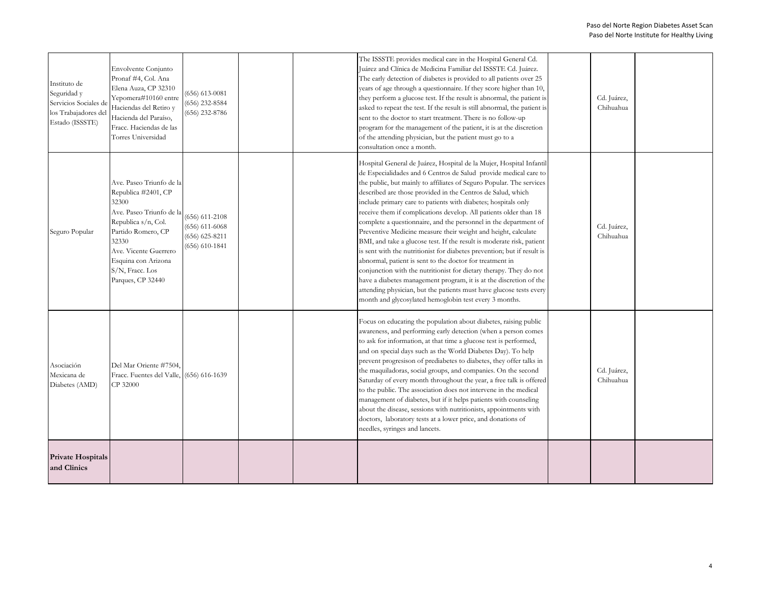| Instituto de<br>Seguridad y<br>Servicios Sociales de<br>los Trabajadores del<br>Estado (ISSSTE) | Envolvente Conjunto<br>Pronaf #4, Col. Ana<br>Elena Auza, CP 32310<br>Yepomera#10160 entre<br>Haciendas del Retiro y<br>Hacienda del Paraíso,<br>Fracc. Haciendas de las<br>Torres Universidad                                     | $(656) 613 - 0081$<br>$(656)$ 232-8584<br>$(656)$ 232-8786                           |  | The ISSSTE provides medical care in the Hospital General Cd.<br>Juárez and Clínica de Medicina Familiar del ISSSTE Cd. Juárez.<br>The early detection of diabetes is provided to all patients over 25<br>years of age through a questionnaire. If they score higher than 10,<br>they perform a glucose test. If the result is abnormal, the patient is<br>asked to repeat the test. If the result is still abnormal, the patient is<br>sent to the doctor to start treatment. There is no follow-up<br>program for the management of the patient, it is at the discretion<br>of the attending physician, but the patient must go to a<br>consultation once a month.                                                                                                                                                                                                                                                                                                                                                                                      | Cd. Juárez,<br>Chihuahua |  |
|-------------------------------------------------------------------------------------------------|------------------------------------------------------------------------------------------------------------------------------------------------------------------------------------------------------------------------------------|--------------------------------------------------------------------------------------|--|----------------------------------------------------------------------------------------------------------------------------------------------------------------------------------------------------------------------------------------------------------------------------------------------------------------------------------------------------------------------------------------------------------------------------------------------------------------------------------------------------------------------------------------------------------------------------------------------------------------------------------------------------------------------------------------------------------------------------------------------------------------------------------------------------------------------------------------------------------------------------------------------------------------------------------------------------------------------------------------------------------------------------------------------------------|--------------------------|--|
| Seguro Popular                                                                                  | Ave. Paseo Triunfo de la<br>Republica #2401, CP<br>32300<br>Ave. Paseo Triunfo de la<br>Republica s/n, Col.<br>Partido Romero, CP<br>32330<br>Ave. Vicente Guerrero<br>Esquina con Arizona<br>S/N, Fracc. Los<br>Parques, CP 32440 | $(656) 611 - 2108$<br>$(656) 611 - 6068$<br>$(656) 625 - 8211$<br>$(656) 610 - 1841$ |  | Hospital General de Juárez, Hospital de la Mujer, Hospital Infantil<br>de Especialidades and 6 Centros de Salud provide medical care to<br>the public, but mainly to affiliates of Seguro Popular. The services<br>described are those provided in the Centros de Salud, which<br>include primary care to patients with diabetes; hospitals only<br>receive them if complications develop. All patients older than 18<br>complete a questionnaire, and the personnel in the department of<br>Preventive Medicine measure their weight and height, calculate<br>BMI, and take a glucose test. If the result is moderate risk, patient<br>is sent with the nutritionist for diabetes prevention; but if result is<br>abnormal, patient is sent to the doctor for treatment in<br>conjunction with the nutritionist for dietary therapy. They do not<br>have a diabetes management program, it is at the discretion of the<br>attending physician, but the patients must have glucose tests every<br>month and glycosylated hemoglobin test every 3 months. | Cd. Juárez,<br>Chihuahua |  |
| Asociación<br>Mexicana de<br>Diabetes (AMD)                                                     | Del Mar Oriente #7504.<br>Fracc. Fuentes del Valle, (656) 616-1639<br>CP 32000                                                                                                                                                     |                                                                                      |  | Focus on educating the population about diabetes, raising public<br>awareness, and performing early detection (when a person comes<br>to ask for information, at that time a glucose test is performed,<br>and on special days such as the World Diabetes Day). To help<br>prevent progresison of prediabetes to diabetes, they offer talks in<br>the maquiladoras, social groups, and companies. On the second<br>Saturday of every month throughout the year, a free talk is offered<br>to the public. The association does not intervene in the medical<br>management of diabetes, but if it helps patients with counseling<br>about the disease, sessions with nutritionists, appointments with<br>doctors, laboratory tests at a lower price, and donations of<br>needles, syringes and lancets.                                                                                                                                                                                                                                                    | Cd. Juárez,<br>Chihuahua |  |
| <b>Private Hospitals</b><br>and Clinics                                                         |                                                                                                                                                                                                                                    |                                                                                      |  |                                                                                                                                                                                                                                                                                                                                                                                                                                                                                                                                                                                                                                                                                                                                                                                                                                                                                                                                                                                                                                                          |                          |  |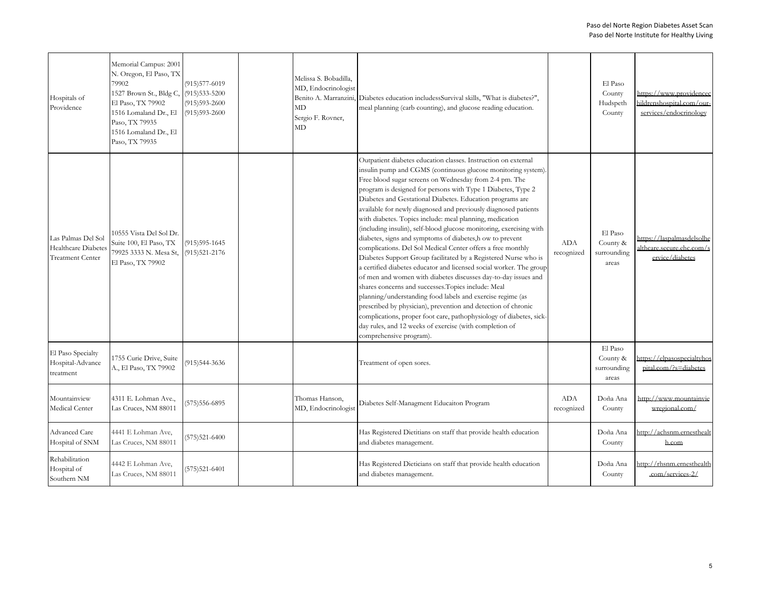| Hospitals of<br>Providence                                          | Memorial Campus: 2001<br>N. Oregon, El Paso, TX<br>79902<br>1527 Brown St., Bldg C,<br>El Paso, TX 79902<br>1516 Lomaland Dr., El<br>Paso, TX 79935<br>1516 Lomaland Dr., El<br>Paso, TX 79935 | $(915)577-6019$<br>$(915)533 - 5200$<br>$(915)593 - 2600$<br>$(915)593 - 2600$ | Melissa S. Bobadilla,<br>MD, Endocrinologist<br><b>MD</b><br>Sergio F. Rovner,<br>MD | Benito A. Marranzini, Diabetes education includessSurvival skills, "What is diabetes?",<br>meal planning (carb counting), and glucose reading education.                                                                                                                                                                                                                                                                                                                                                                                                                                                                                                                                                                                                                                                                                                                                                                                                                                                                                                                                                                                                                                                              |                          | El Paso<br>County<br>Hudspeth<br>County     | https://www.providencec<br>hildrenshospital.com/our-<br>services/endocrinology |
|---------------------------------------------------------------------|------------------------------------------------------------------------------------------------------------------------------------------------------------------------------------------------|--------------------------------------------------------------------------------|--------------------------------------------------------------------------------------|-----------------------------------------------------------------------------------------------------------------------------------------------------------------------------------------------------------------------------------------------------------------------------------------------------------------------------------------------------------------------------------------------------------------------------------------------------------------------------------------------------------------------------------------------------------------------------------------------------------------------------------------------------------------------------------------------------------------------------------------------------------------------------------------------------------------------------------------------------------------------------------------------------------------------------------------------------------------------------------------------------------------------------------------------------------------------------------------------------------------------------------------------------------------------------------------------------------------------|--------------------------|---------------------------------------------|--------------------------------------------------------------------------------|
| Las Palmas Del Sol<br>Healthcare Diabete<br><b>Treatment Center</b> | 10555 Vista Del Sol Dr.<br>Suite 100, El Paso, TX<br>79925 3333 N. Mesa St,<br>El Paso, TX 79902                                                                                               | $(915)595-1645$<br>$(915)521 - 2176$                                           |                                                                                      | Outpatient diabetes education classes. Instruction on external<br>insulin pump and CGMS (continuous glucose monitoring system)<br>Free blood sugar screens on Wednesday from 2-4 pm. The<br>program is designed for persons with Type 1 Diabetes, Type 2<br>Diabetes and Gestational Diabetes. Education programs are<br>available for newly diagnosed and previously diagnosed patients<br>with diabetes. Topics include: meal planning, medication<br>(including insulin), self-blood glucose monitoring, exercising with<br>diabetes, signs and symptoms of diabetes, how to prevent<br>complications. Del Sol Medical Center offers a free monthly<br>Diabetes Support Group facilitated by a Registered Nurse who is<br>a certified diabetes educator and licensed social worker. The group<br>of men and women with diabetes discusses day-to-day issues and<br>shares concerns and successes. Topics include: Meal<br>planning/understanding food labels and exercise regime (as<br>prescribed by physician), prevention and detection of chronic<br>complications, proper foot care, pathophysiology of diabetes, sick-<br>day rules, and 12 weeks of exercise (with completion of<br>comprehensive program). | <b>ADA</b><br>recognized | El Paso<br>County &<br>surrounding<br>areas | https://laspalmasdelsolhe<br>althcare.secure.ehc.com/s<br>ervice/diabetes      |
| El Paso Specialty<br>Hospital-Advance<br>treatment                  | 1755 Curie Drive, Suite<br>A., El Paso, TX 79902                                                                                                                                               | (915)544-3636                                                                  |                                                                                      | Treatment of open sores.                                                                                                                                                                                                                                                                                                                                                                                                                                                                                                                                                                                                                                                                                                                                                                                                                                                                                                                                                                                                                                                                                                                                                                                              |                          | El Paso<br>County &<br>surrounding<br>areas | https://elpasospecialtyhos<br>pital.com/?s=diabetes                            |
| Mountainview<br>Medical Center                                      | 4311 E. Lohman Ave.,<br>Las Cruces, NM 88011                                                                                                                                                   | $(575)556-6895$                                                                | Thomas Hanson,<br>MD, Endocrinologist                                                | Diabetes Self-Managment Educaiton Program                                                                                                                                                                                                                                                                                                                                                                                                                                                                                                                                                                                                                                                                                                                                                                                                                                                                                                                                                                                                                                                                                                                                                                             | ADA<br>recognized        | Doña Ana<br>County                          | http://www.mountainvie<br>wregional.com/                                       |
| Advanced Care<br>Hospital of SNM                                    | 4441 E Lohman Ave,<br>Las Cruces, NM 88011                                                                                                                                                     | $(575)521 - 6400$                                                              |                                                                                      | Has Registered Dietitians on staff that provide health education<br>and diabetes management.                                                                                                                                                                                                                                                                                                                                                                                                                                                                                                                                                                                                                                                                                                                                                                                                                                                                                                                                                                                                                                                                                                                          |                          | Doña Ana<br>County                          | http://achsnm.ernesthealt<br>h.com                                             |
| Rehabilitation<br>Hospital of<br>Southern NM                        | 4442 E Lohman Ave,<br>Las Cruces, NM 88011                                                                                                                                                     | $(575)521 - 6401$                                                              |                                                                                      | Has Registered Dieticians on staff that provide health education<br>and diabetes management.                                                                                                                                                                                                                                                                                                                                                                                                                                                                                                                                                                                                                                                                                                                                                                                                                                                                                                                                                                                                                                                                                                                          |                          | Doña Ana<br>County                          | http://rhsnm.ernesthealth<br>.com/services-2/                                  |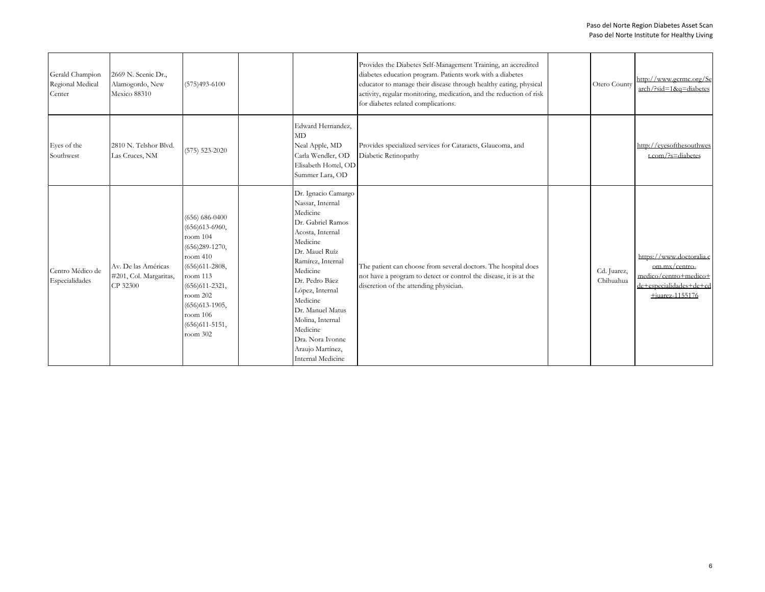| Gerald Champion<br>Regional Medical<br>Center | 2669 N. Scenic Dr.,<br>Alamogordo, New<br>Mexico 88310    | $(575)493 - 6100$                                                                                                                                                                                                    |                                                                                                                                                                                                                                                                                                                               | Provides the Diabetes Self-Management Training, an accredited<br>diabetes education program. Patients work with a diabetes<br>educator to manage their disease through healthy eating, physical<br>activity, regular monitoring, medication, and the reduction of risk<br>for diabetes related complications. | Otero County             | http://www.gcrmc.org/Se<br>arch/?sid=1&q=diabetes                                                                     |
|-----------------------------------------------|-----------------------------------------------------------|----------------------------------------------------------------------------------------------------------------------------------------------------------------------------------------------------------------------|-------------------------------------------------------------------------------------------------------------------------------------------------------------------------------------------------------------------------------------------------------------------------------------------------------------------------------|---------------------------------------------------------------------------------------------------------------------------------------------------------------------------------------------------------------------------------------------------------------------------------------------------------------|--------------------------|-----------------------------------------------------------------------------------------------------------------------|
| Eyes of the<br>Southwest                      | 2810 N. Telshor Blvd.<br>Las Cruces, NM                   | $(575) 523 - 2020$                                                                                                                                                                                                   | Edward Hernandez,<br>MD<br>Neal Apple, MD<br>Carla Wendler, OD<br>Elisabeth Hottel, OD<br>Summer Lara, OD                                                                                                                                                                                                                     | Provides specialized services for Cataracts, Glaucoma, and<br>Diabetic Retinopathy                                                                                                                                                                                                                            |                          | http://evesofthesouthwes<br>t.com/?s=diabetes                                                                         |
| Centro Médico de<br>Especialidades            | Av. De las Américas<br>#201, Col. Margaritas,<br>CP 32300 | $(656) 686 - 0400$<br>$(656)613-6960,$<br>room 104<br>$(656)289-1270,$<br>room 410<br>$(656)611 - 2808,$<br>room 113<br>$(656)611-2321,$<br>room 202<br>$(656)613-1905,$<br>room 106<br>$(656)611-5151,$<br>room 302 | Dr. Ignacio Camargo<br>Nassar, Internal<br>Medicine<br>Dr. Gabriel Ramos<br>Acosta, Internal<br>Medicine<br>Dr. Mauel Ruíz<br>Ramírez, Internal<br>Medicine<br>Dr. Pedro Báez<br>López, Internal<br>Medicine<br>Dr. Manuel Matus<br>Molina, Internal<br>Medicine<br>Dra. Nora Ivonne<br>Araujo Martínez,<br>Internal Medicine | The patient can choose from several doctors. The hospital does<br>not have a program to detect or control the disease, it is at the<br>discretion of the attending physician.                                                                                                                                 | Cd. Juarez,<br>Chihuahua | https://www.doctoralia.c<br>om.mx/centro-<br>medico/centro+medico+<br>de+especialidades+de+cd<br>$\pm$ iuarez-1155176 |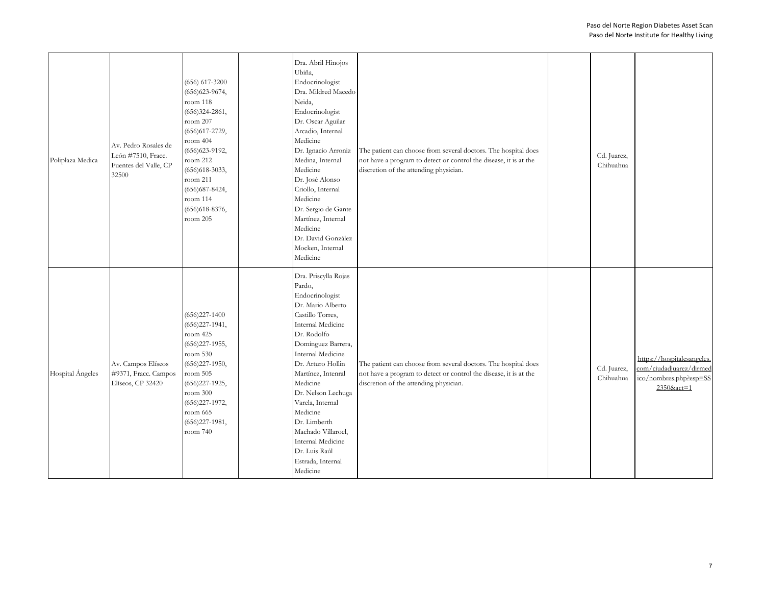| Poliplaza Medica | Av. Pedro Rosales de<br>León #7510, Fracc.<br>Fuentes del Valle, CP<br>32500 | $(656) 617 - 3200$<br>$(656)$ 623-9674,<br>room 118<br>$(656)324-2861,$<br>room 207<br>$(656)617 - 2729,$<br>room 404<br>$(656)623 - 9192,$<br>room 212<br>$(656)618-3033,$<br>room 211<br>$(656)$ 687-8424,<br>room 114<br>$(656)618 - 8376,$<br>room 205 | Dra. Abril Hinojos<br>Ubiña,<br>Endocrinologist<br>Dra. Mildred Macedo<br>Neida,<br>Endocrinologist<br>Dr. Oscar Aguilar<br>Arcadio, Internal<br>Medicine<br>Dr. Ignacio Arroniz<br>Medina, Internal<br>Medicine<br>Dr. José Alonso<br>Criollo, Internal<br>Medicine<br>Dr. Sergio de Gante<br>Martínez, Internal<br>Medicine<br>Dr. David González<br>Mocken, Internal<br>Medicine                        | The patient can choose from several doctors. The hospital does<br>not have a program to detect or control the disease, it is at the<br>discretion of the attending physician. | Cd. Juarez,<br>Chihuahua |                                                                                               |
|------------------|------------------------------------------------------------------------------|------------------------------------------------------------------------------------------------------------------------------------------------------------------------------------------------------------------------------------------------------------|------------------------------------------------------------------------------------------------------------------------------------------------------------------------------------------------------------------------------------------------------------------------------------------------------------------------------------------------------------------------------------------------------------|-------------------------------------------------------------------------------------------------------------------------------------------------------------------------------|--------------------------|-----------------------------------------------------------------------------------------------|
| Hospital Ángeles | Av. Campos Elíseos<br>#9371, Fracc. Campos<br>Elíseos, CP 32420              | $(656)227 - 1400$<br>$(656)227-1941,$<br>room 425<br>$(656)227 - 1955,$<br>room 530<br>$(656)227-1950,$<br>room 505<br>$(656)227 - 1925,$<br>room 300<br>$(656)227-1972,$<br>room 665<br>$(656)227-1981,$<br>room 740                                      | Dra. Priscylla Rojas<br>Pardo,<br>Endocrinologist<br>Dr. Mario Alberto<br>Castillo Torres,<br>Internal Medicine<br>Dr. Rodolfo<br>Domínguez Barrera,<br>Internal Medicine<br>Dr. Arturo Hollin<br>Martínez, Intenral<br>Medicine<br>Dr. Nelson Lechuga<br>Varela, Internal<br>Medicine<br>Dr. Limberth<br>Machado Villaroel,<br><b>Internal Medicine</b><br>Dr. Luis Raúl<br>Estrada, Internal<br>Medicine | The patient can choose from several doctors. The hospital does<br>not have a program to detect or control the disease, it is at the<br>discretion of the attending physician. | Cd. Juarez,<br>Chihuahua | https://hospitalesangeles.<br>com/ciudadjuarez/dirmed<br>ico/nombres.php?esp=SS<br>2350&act=1 |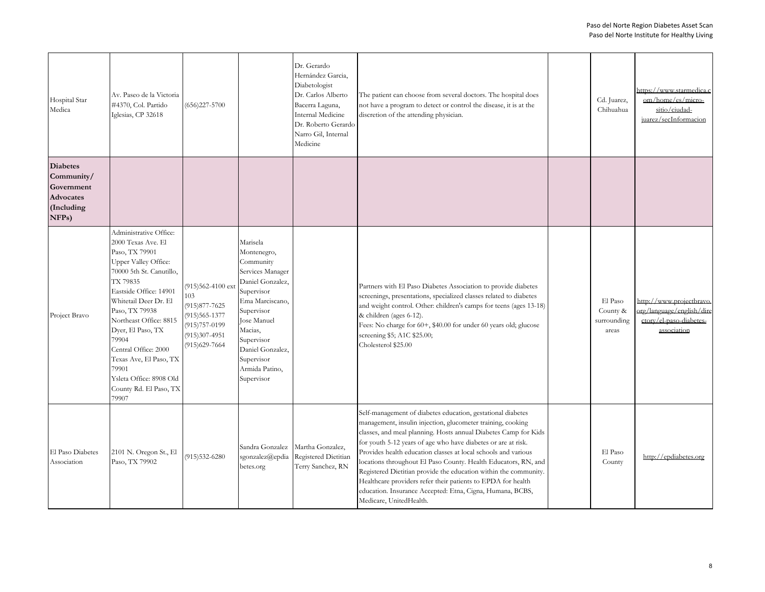| Hospital Star<br>Medica                                                                             | Av. Paseo de la Victoria<br>#4370, Col. Partido<br>Iglesias, CP 32618                                                                                                                                                                                                                                                                                                                       | $(656)227 - 5700$                                                                                                                   |                                                                                                                                                                                                                                              | Dr. Gerardo<br>Hernández Garcia,<br>Diabetologist<br>Dr. Carlos Alberto<br>Bacerra Laguna,<br><b>Internal Medicine</b><br>Dr. Roberto Gerardo<br>Narro Gil, Internal<br>Medicine | The patient can choose from several doctors. The hospital does<br>not have a program to detect or control the disease, it is at the<br>discretion of the attending physician.                                                                                                                                                                                                                                                                                                                                                                                                                                                  | Cd. Juarez,<br>Chihuahua                    | https://www.starmedica.c<br>om/home/es/micro-<br>sitio/ciudad-<br>juarez/secInformacion         |
|-----------------------------------------------------------------------------------------------------|---------------------------------------------------------------------------------------------------------------------------------------------------------------------------------------------------------------------------------------------------------------------------------------------------------------------------------------------------------------------------------------------|-------------------------------------------------------------------------------------------------------------------------------------|----------------------------------------------------------------------------------------------------------------------------------------------------------------------------------------------------------------------------------------------|----------------------------------------------------------------------------------------------------------------------------------------------------------------------------------|--------------------------------------------------------------------------------------------------------------------------------------------------------------------------------------------------------------------------------------------------------------------------------------------------------------------------------------------------------------------------------------------------------------------------------------------------------------------------------------------------------------------------------------------------------------------------------------------------------------------------------|---------------------------------------------|-------------------------------------------------------------------------------------------------|
| <b>Diabetes</b><br>Community/<br>Government<br><b>Advocates</b><br>(Including<br>NFP <sub>s</sub> ) |                                                                                                                                                                                                                                                                                                                                                                                             |                                                                                                                                     |                                                                                                                                                                                                                                              |                                                                                                                                                                                  |                                                                                                                                                                                                                                                                                                                                                                                                                                                                                                                                                                                                                                |                                             |                                                                                                 |
| Project Bravo                                                                                       | Administrative Office:<br>2000 Texas Ave. El<br>Paso, TX 79901<br><b>Upper Valley Office:</b><br>70000 5th St. Canutillo,<br>TX 79835<br>Eastside Office: 14901<br>Whitetail Deer Dr. El<br>Paso, TX 79938<br>Northeast Office: 8815<br>Dyer, El Paso, TX<br>79904<br>Central Office: 2000<br>Texas Ave, El Paso, TX<br>79901<br>Ysleta Office: 8908 Old<br>County Rd. El Paso, TX<br>79907 | $(915)562 - 4100$ ext<br>103<br>$(915)877 - 7625$<br>$(915)565 - 1377$<br>$(915)757-0199$<br>$(915)307 - 4951$<br>$(915)629 - 7664$ | Marisela<br>Montenegro,<br>Community<br>Services Manager<br>Daniel Gonzalez,<br>Supervisor<br>Ema Marciscano,<br>Supervisor<br><b>Jose Manuel</b><br>Macias,<br>Supervisor<br>Daniel Gonzalez,<br>Supervisor<br>Armida Patino,<br>Supervisor |                                                                                                                                                                                  | Partners with El Paso Diabetes Association to provide diabetes<br>screenings, presentations, specialized classes related to diabetes<br>and weight control. Other: children's camps for teens (ages 13-18)<br>& children (ages 6-12).<br>Fees: No charge for 60+, \$40.00 for under 60 years old; glucose<br>screening \$5; A1C \$25.00;<br>Cholesterol \$25.00                                                                                                                                                                                                                                                                | El Paso<br>County &<br>surrounding<br>areas | http://www.projectbravo.<br>org/language/english/dire<br>ctory/el-paso-diabetes-<br>association |
| El Paso Diabetes<br>Association                                                                     | 2101 N. Oregon St., El<br>Paso, TX 79902                                                                                                                                                                                                                                                                                                                                                    | $(915)532-6280$                                                                                                                     | Sandra Gonzalez<br>sgonzalez@epdia<br>betes.org                                                                                                                                                                                              | Martha Gonzalez,<br>Registered Dietitian<br>Terry Sanchez, RN                                                                                                                    | Self-management of diabetes education, gestational diabetes<br>management, insulin injection, glucometer training, cooking<br>classes, and meal planning. Hosts annual Diabetes Camp for Kids<br>for youth 5-12 years of age who have diabetes or are at risk.<br>Provides health education classes at local schools and various<br>locations throughout El Paso County. Health Educators, RN, and<br>Registered Dietitian provide the education within the community.<br>Healthcare providers refer their patients to EPDA for health<br>education. Insurance Accepted: Etna, Cigna, Humana, BCBS,<br>Medicare, UnitedHealth. | El Paso<br>County                           | http://epdiabetes.org                                                                           |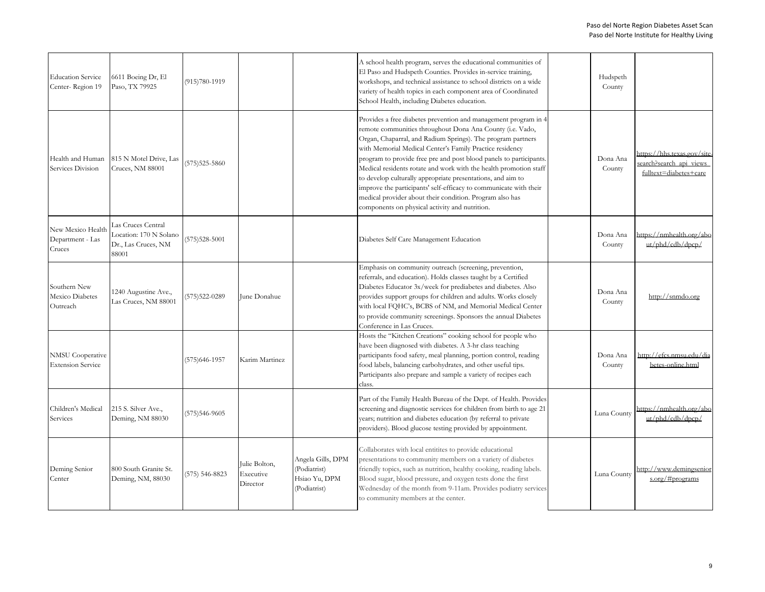| <b>Education Service</b><br>Center-Region 19        | 6611 Boeing Dr, El<br>Paso, TX 79925                                         | $(915)780-1919$   |                                        |                                                                    | A school health program, serves the educational communities of<br>El Paso and Hudspeth Counties. Provides in-service training,<br>workshops, and technical assistance to school districts on a wide<br>variety of health topics in each component area of Coordinated<br>School Health, including Diabetes education.                                                                                                                                                                                                                                                                                                                               | Hudspeth<br>County |                                                                                  |
|-----------------------------------------------------|------------------------------------------------------------------------------|-------------------|----------------------------------------|--------------------------------------------------------------------|-----------------------------------------------------------------------------------------------------------------------------------------------------------------------------------------------------------------------------------------------------------------------------------------------------------------------------------------------------------------------------------------------------------------------------------------------------------------------------------------------------------------------------------------------------------------------------------------------------------------------------------------------------|--------------------|----------------------------------------------------------------------------------|
| Health and Human<br>Services Division               | 815 N Motel Drive, Las<br>Cruces, NM 88001                                   | $(575)525 - 5860$ |                                        |                                                                    | Provides a free diabetes prevention and management program in 4<br>remote communities throughout Dona Ana County (i.e. Vado,<br>Organ, Chaparral, and Radium Springs). The program partners<br>with Memorial Medical Center's Family Practice residency<br>program to provide free pre and post blood panels to participants<br>Medical residents rotate and work with the health promotion staff<br>to develop culturally appropriate presentations, and aim to<br>improve the participants' self-efficacy to communicate with their<br>medical provider about their condition. Program also has<br>components on physical activity and nutrition. | Dona Ana<br>County | https://hhs.texas.gov/site-<br>search?search api views<br>fulltext=diabetes+care |
| New Mexico Health<br>Department - Las<br>Cruces     | Las Cruces Central<br>Location: 170 N Solano<br>Dr., Las Cruces, NM<br>88001 | $(575)528 - 5001$ |                                        |                                                                    | Diabetes Self Care Management Education                                                                                                                                                                                                                                                                                                                                                                                                                                                                                                                                                                                                             | Dona Ana<br>County | https://nmhealth.org/abo<br>ut/phd/cdb/dpcp/                                     |
| Southern New<br>Mexico Diabetes<br>Outreach         | 1240 Augustine Ave.,<br>Las Cruces, NM 88001                                 | $(575)522 - 0289$ | June Donahue                           |                                                                    | Emphasis on community outreach (screening, prevention,<br>referrals, and education). Holds classes taught by a Certified<br>Diabetes Educator 3x/week for prediabetes and diabetes. Also<br>provides support groups for children and adults. Works closely<br>with local FQHC's, BCBS of NM, and Memorial Medical Center<br>to provide community screenings. Sponsors the annual Diabetes<br>Conference in Las Cruces.                                                                                                                                                                                                                              | Dona Ana<br>County | http://snmdo.org                                                                 |
| <b>NMSU</b> Cooperative<br><b>Extension Service</b> |                                                                              | $(575)646 - 1957$ | Karim Martinez                         |                                                                    | Hosts the "Kitchen Creations" cooking school for people who<br>have been diagnosed with diabetes. A 3-hr class teaching<br>participants food safety, meal planning, portion control, reading<br>food labels, balancing carbohydrates, and other useful tips.<br>Participants also prepare and sample a variety of recipes each<br>class.                                                                                                                                                                                                                                                                                                            | Dona Ana<br>County | http://efcs.nmsu.edu/dia<br>betes-online.html                                    |
| Children's Medical<br>Services                      | 215 S. Silver Ave.,<br>Deming, NM 88030                                      | $(575)546-9605$   |                                        |                                                                    | Part of the Family Health Bureau of the Dept. of Health. Provides<br>screening and diagnostic services for children from birth to age 21<br>years; nutrition and diabetes education (by referral to private<br>providers). Blood glucose testing provided by appointment.                                                                                                                                                                                                                                                                                                                                                                           | Luna County        | https://nmhealth.org/abo<br>ut/phd/cdb/dpcp/                                     |
| Deming Senior<br>Center                             | 800 South Granite St.<br>Deming, NM, 88030                                   | (575) 546-8823    | Julie Bolton,<br>Executive<br>Director | Angela Gills, DPM<br>(Podiatrist)<br>Hsiao Yu, DPM<br>(Podiatrist) | Collaborates with local entitites to provide educational<br>presentations to community members on a variety of diabetes<br>friendly topics, such as nutrition, healthy cooking, reading labels.<br>Blood sugar, blood pressure, and oxygen tests done the first<br>Wednesday of the month from 9-11am. Provides podiatry services<br>to community members at the center.                                                                                                                                                                                                                                                                            | Luna County        | http://www.demingsenior<br>s.org/#programs                                       |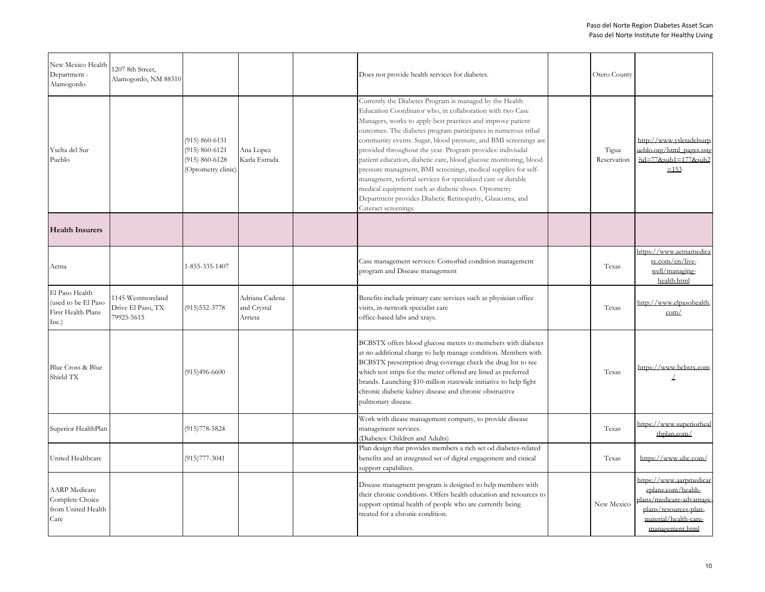| New Mexico Health<br>Department -<br>Alamogordo                       | 1207 8th Street,<br>Alamogordo, NM 88310             |                                                                                      |                                          | Does not provide health services for diabetes.                                                                                                                                                                                                                                                                                                                                                                                                                                                                                                                                                                                                                                                                                          | Otero County         |                                                                                                                                                |
|-----------------------------------------------------------------------|------------------------------------------------------|--------------------------------------------------------------------------------------|------------------------------------------|-----------------------------------------------------------------------------------------------------------------------------------------------------------------------------------------------------------------------------------------------------------------------------------------------------------------------------------------------------------------------------------------------------------------------------------------------------------------------------------------------------------------------------------------------------------------------------------------------------------------------------------------------------------------------------------------------------------------------------------------|----------------------|------------------------------------------------------------------------------------------------------------------------------------------------|
| Yselta del Sur<br>Pueblo                                              |                                                      | $(915) 860 - 6131$<br>$(915) 860 - 6121$<br>$(915) 860 - 6128$<br>(Optometry clinic) | Ana Lopez<br>Karla Estrada               | Currently the Diabetes Program is managed by the Health<br>Education Coordinator who, in collaboration with two Case<br>Managers, works to apply best practices and improve patient<br>outcomes. The diabetes program participates in numerous tribal<br>community events. Sugar, blood pressure, and BMI screenings are<br>provided throughout the year. Program provides: indiviudal<br>patient education, diabetic care, blood glucose monitoring, blood<br>pressure managment, BMI screenings, medical supplies for self-<br>managment, referral services for specialized care or durable<br>medical equipment such as diabetic shoes. Optometry<br>Department provides Diabetic Retinopathy, Glaucoma, and<br>Cateract screenings. | Tigua<br>Reservation | http://www.ysletadelsurp<br>ueblo.org/html pages.sstg<br>$Pid = 77$ &sub1=177&sub2<br>$\equiv$ 153                                             |
| <b>Health Insurers</b>                                                |                                                      |                                                                                      |                                          |                                                                                                                                                                                                                                                                                                                                                                                                                                                                                                                                                                                                                                                                                                                                         |                      |                                                                                                                                                |
| Aetna                                                                 |                                                      | 1-855-335-1407                                                                       |                                          | Case management services: Comorbid condition management<br>program and Disease management                                                                                                                                                                                                                                                                                                                                                                                                                                                                                                                                                                                                                                               | Texas                | https://www.aetnamedica<br>re.com/en/live-<br>well/managing-<br>health.html                                                                    |
| El Paso Health<br>used to be El Paso<br>First Health Plans<br>Inc.)   | 1145 Westmoreland<br>Drive El Paso, TX<br>79925-5615 | $(915)532 - 3778$                                                                    | Adriana Cadena<br>and Crystal<br>Arrieta | Benefits include primary care services such as physician office<br>visits, in-network specialist care<br>office-based labs and xrays.                                                                                                                                                                                                                                                                                                                                                                                                                                                                                                                                                                                                   | Texas                | http://www.elpasohealth.<br>com/                                                                                                               |
| Blue Cross & Blue<br>Shield TX                                        |                                                      | $(915)496-6600$                                                                      |                                          | BCBSTX offers blood glucose meters to memebers with diabetes<br>at no additional charge to help manage condition. Members with<br>BCBSTX prescritption drug coverage check the drug list to see<br>which test strips for the meter offered are listed as preferred<br>brands. Launching \$10-million statewide initiative to help fight<br>chronic diabetic kidney disease and chronic obstructive<br>pulmonary disease.                                                                                                                                                                                                                                                                                                                | Texas                | https://www.bcbstx.com                                                                                                                         |
| Superior HealthPlan                                                   |                                                      | $(915)778 - 5824$                                                                    |                                          | Work with diease management company, to provide disease<br>management services.<br>(Diabetes: Children and Adults)                                                                                                                                                                                                                                                                                                                                                                                                                                                                                                                                                                                                                      | Texas                | https://www.superiorheal<br>thplan.com/                                                                                                        |
| United Healthcare                                                     |                                                      | $(915)777 - 3041$                                                                    |                                          | Plan design that provides members a rich set od diabetes-related<br>benefits and an integrated set of digital engagement and cinical<br>support capabilites.                                                                                                                                                                                                                                                                                                                                                                                                                                                                                                                                                                            | Texas                | https://www.uhc.com/                                                                                                                           |
| <b>AARP</b> Medicare<br>Complete Choice<br>from United Health<br>Care |                                                      |                                                                                      |                                          | Disease managment program is designed to help members with<br>their chronic conditions. Offers health education and resources to<br>support optimal health of people who are currently being<br>treated for a chronic condition.                                                                                                                                                                                                                                                                                                                                                                                                                                                                                                        | New Mexico           | https://www.aarpmedicar<br>eplans.com/health-<br>lans/medicare-advantage-<br>plans/resources-plan-<br>material/health-care-<br>management.html |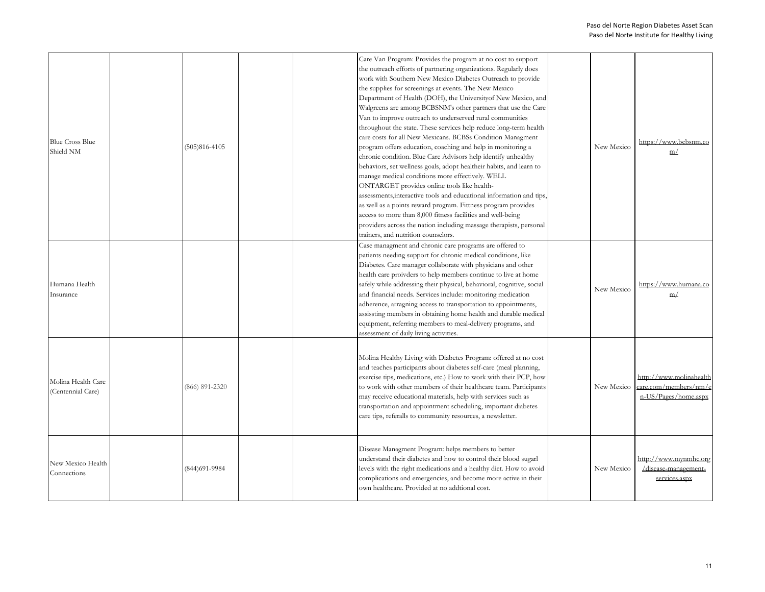| <b>Blue Cross Blue</b><br>Shield NM     | $(505)816 - 4105$  |  | Care Van Program: Provides the program at no cost to support<br>the outreach efforts of partnering organizations. Regularly does<br>work with Southern New Mexico Diabetes Outreach to provide<br>the supplies for screenings at events. The New Mexico<br>Department of Health (DOH), the University of New Mexico, and<br>Walgreens are among BCBSNM's other partners that use the Care<br>Van to improve outreach to underserved rural communities<br>throughout the state. These services help reduce long-term health<br>care costs for all New Mexicans. BCBSs Condition Managment<br>program offers education, coaching and help in monitoring a<br>chronic condition. Blue Care Advisors help identify unhealthy<br>behaviors, set wellness goals, adopt healtheir habits, and learn to<br>manage medical conditions more effectively. WELL<br>ONTARGET provides online tools like health-<br>assessments, interactive tools and educational information and tips<br>as well as a points reward program. Fittness program provides<br>access to more than 8,000 fitness facilities and well-being<br>providers across the nation including massage therapists, personal | New Mexico | https://www.bcbsnm.co<br>m/                                              |
|-----------------------------------------|--------------------|--|---------------------------------------------------------------------------------------------------------------------------------------------------------------------------------------------------------------------------------------------------------------------------------------------------------------------------------------------------------------------------------------------------------------------------------------------------------------------------------------------------------------------------------------------------------------------------------------------------------------------------------------------------------------------------------------------------------------------------------------------------------------------------------------------------------------------------------------------------------------------------------------------------------------------------------------------------------------------------------------------------------------------------------------------------------------------------------------------------------------------------------------------------------------------------------|------------|--------------------------------------------------------------------------|
| Humana Health<br>Insurance              |                    |  | trainers, and nutrition counselors.<br>Case managment and chronic care programs are offered to<br>patients needing support for chronic medical conditions, like<br>Diabetes. Care manager collaborate with physicians and other<br>health care proivders to help members continue to live at home<br>safely while addressing their physical, behavioral, cognitive, social<br>and financial needs. Services include: monitoring medication<br>adherence, arragning access to transportation to appointments,<br>assissting members in obtaining home health and durable medical<br>equipment, referring members to meal-delivery programs, and<br>assessment of daily living activities.                                                                                                                                                                                                                                                                                                                                                                                                                                                                                        | New Mexico | https://www.humana.co<br>m/                                              |
| Molina Health Care<br>(Centennial Care) | $(866) 891 - 2320$ |  | Molina Healthy Living with Diabetes Program: offered at no cost<br>and teaches participants about diabetes self-care (meal planning,<br>exercise tips, medications, etc.) How to work with their PCP, how<br>to work with other members of their healthcare team. Participants<br>may receive educational materials, help with services such as<br>transportation and appointment scheduling, important diabetes<br>care tips, referalls to community resources, a newsletter.                                                                                                                                                                                                                                                                                                                                                                                                                                                                                                                                                                                                                                                                                                  | New Mexico | http://www.molinahealth<br>care.com/members/nm/e<br>n-US/Pages/home.aspx |
| New Mexico Health<br>Connections        | (844) 691-9984     |  | Disease Managment Program: helps members to better<br>understand their diabetes and how to control their blood sugarl<br>levels with the right medications and a healthy diet. How to avoid<br>complications and emergencies, and become more active in their<br>own healthcare. Provided at no addtional cost.                                                                                                                                                                                                                                                                                                                                                                                                                                                                                                                                                                                                                                                                                                                                                                                                                                                                 | New Mexico | http://www.mynmhc.org<br>/disease-management-<br>services.aspx           |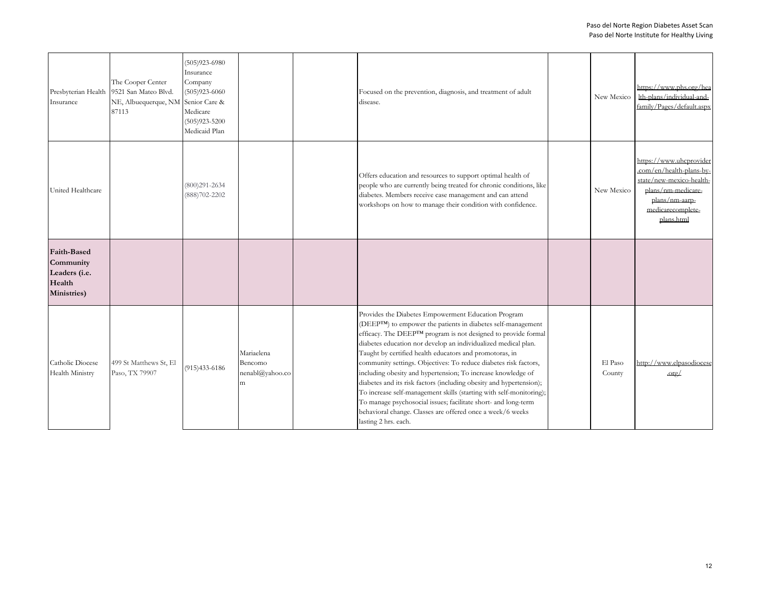| Insurance                                                                 | The Cooper Center<br>Presbyterian Health 9521 San Mateo Blvd.<br>NE, Albuequerque, NM Senior Care &<br>87113 | $(505)923 - 6980$<br>Insurance<br>Company<br>$(505)923 - 6060$<br>Medicare<br>$(505)923 - 5200$<br>Medicaid Plan |                                               | Focused on the prevention, diagnosis, and treatment of adult<br>disease.                                                                                                                                                                                                                                                                                                                                                                                                                                                                                                                                                                                                                                                                                     | New Mexico        | https://www.phs.org/hea<br>lth-plans/individual-and-<br>family/Pages/default.aspx                                                                          |
|---------------------------------------------------------------------------|--------------------------------------------------------------------------------------------------------------|------------------------------------------------------------------------------------------------------------------|-----------------------------------------------|--------------------------------------------------------------------------------------------------------------------------------------------------------------------------------------------------------------------------------------------------------------------------------------------------------------------------------------------------------------------------------------------------------------------------------------------------------------------------------------------------------------------------------------------------------------------------------------------------------------------------------------------------------------------------------------------------------------------------------------------------------------|-------------------|------------------------------------------------------------------------------------------------------------------------------------------------------------|
| United Healthcare                                                         |                                                                                                              | $(800)291 - 2634$<br>(888) 702-2202                                                                              |                                               | Offers education and resources to support optimal health of<br>people who are currently being treated for chronic conditions, like<br>diabetes. Members receive case management and can attend<br>workshops on how to manage their condition with confidence.                                                                                                                                                                                                                                                                                                                                                                                                                                                                                                | New Mexico        | https://www.uhcprovider<br>.com/en/health-plans-by-<br>state/new-mexico-health-<br>plans/nm-medicare-<br>plans/nm-aarp-<br>medicarecomplete-<br>plans.html |
| <b>Faith-Based</b><br>Community<br>Leaders (i.e.<br>Health<br>Ministries) |                                                                                                              |                                                                                                                  |                                               |                                                                                                                                                                                                                                                                                                                                                                                                                                                                                                                                                                                                                                                                                                                                                              |                   |                                                                                                                                                            |
| Catholic Diocese<br>Health Ministry                                       | 499 St Matthews St, El<br>Paso, TX 79907                                                                     | $(915)433-6186$                                                                                                  | Mariaelena<br>Bencomo<br>nenabl@yahoo.co<br>m | Provides the Diabetes Empowerment Education Program<br>(DEEPTM) to empower the patients in diabetes self-management<br>efficacy. The DEEPTM program is not designed to provide formal<br>diabetes education nor develop an individualized medical plan.<br>Taught by certified health educators and promotoras, in<br>community settings. Objectives: To reduce diabetes risk factors,<br>including obesity and hypertension; To increase knowledge of<br>diabetes and its risk factors (including obesity and hypertension);<br>To increase self-management skills (starting with self-monitoring);<br>To manage psychosocial issues; facilitate short- and long-term<br>behavioral change. Classes are offered once a week/6 weeks<br>lasting 2 hrs. each. | El Paso<br>County | http://www.elpasodiocese<br>$.$ org $/$                                                                                                                    |